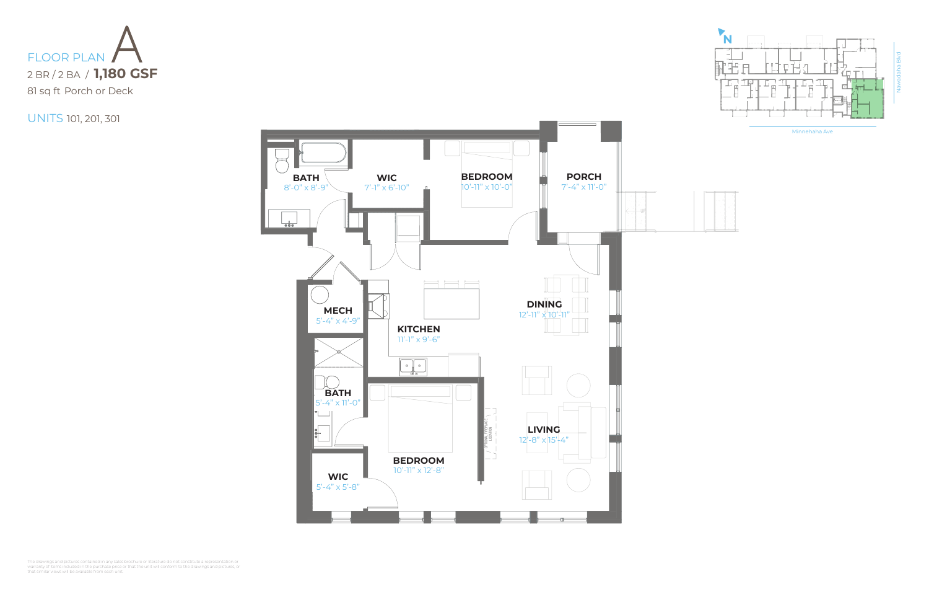Minnehaha Ave

|  | $-1$<br>٠<br>5<br>x<br>ð<br>٠        |
|--|--------------------------------------|
|  | ٠<br>÷<br>٠<br>٠                     |
|  | ××<br>ï<br>٠<br>x<br>÷<br>÷<br>÷     |
|  | ٠<br>ь<br>ï<br>u<br>s<br>٠<br>٠<br>٠ |
|  | ×<br>ä<br>٠<br>٠<br>÷                |
|  | ×<br>ï<br>v.<br>٠<br>ï<br>í<br>ż     |
|  | ×<br>ç<br>ä<br>í                     |





The drawings and pictures contained in any sales brochure or literature do not constitute a representation or<br>warranty of items included in the purchase price or that the unit will conform to the drawings and pictures, or<br>



UNITS 101, 201, 301